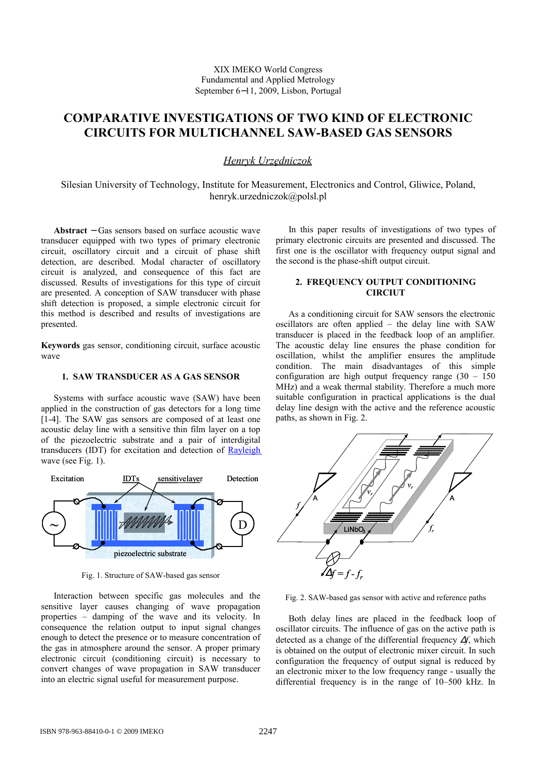# **COMPARATIVE INVESTIGATIONS OF TWO KIND OF ELECTRONIC CIRCUITS FOR MULTICHANNEL SAW-BASED GAS SENSORS**

## *Henryk Urzędniczok*

Silesian University of Technology, Institute for Measurement, Electronics and Control, Gliwice, Poland, henryk.urzedniczok@polsl.pl

**Abstract** − Gas sensors based on surface acoustic wave transducer equipped with two types of primary electronic circuit, oscillatory circuit and a circuit of phase shift detection, are described. Modal character of oscillatory circuit is analyzed, and consequence of this fact are discussed. Results of investigations for this type of circuit are presented. A conception of SAW transducer with phase shift detection is proposed, a simple electronic circuit for this method is described and results of investigations are presented.

**Keywords** gas sensor, conditioning circuit, surface acoustic wave

### **1. SAW TRANSDUCER AS A GAS SENSOR**

Systems with surface acoustic wave (SAW) have been applied in the construction of gas detectors for a long time [1-4]. The SAW gas sensors are composed of at least one acoustic delay line with a sensitive thin film layer on a top of the piezoelectric substrate and a pair of interdigital transducers (IDT) for excitation and detection of [Rayleigh](http://pl.wikipedia.org/wiki/Fala_Rayleigha) wave (see Fig. 1).



Fig. 1. Structure of SAW-based gas sensor

Interaction between specific gas molecules and the sensitive layer causes changing of wave propagation properties – damping of the wave and its velocity. In consequence the relation output to input signal changes enough to detect the presence or to measure concentration of the gas in atmosphere around the sensor. A proper primary electronic circuit (conditioning circuit) is necessary to convert changes of wave propagation in SAW transducer into an electric signal useful for measurement purpose.

In this paper results of investigations of two types of primary electronic circuits are presented and discussed. The first one is the oscillator with frequency output signal and the second is the phase-shift output circuit.

## **2. FREQUENCY OUTPUT CONDITIONING CIRCIUT**

As a conditioning circuit for SAW sensors the electronic oscillators are often applied – the delay line with SAW transducer is placed in the feedback loop of an amplifier. The acoustic delay line ensures the phase condition for oscillation, whilst the amplifier ensures the amplitude condition. The main disadvantages of this simple configuration are high output frequency range  $(30 - 150)$ MHz) and a weak thermal stability. Therefore a much more suitable configuration in practical applications is the dual delay line design with the active and the reference acoustic paths, as shown in Fig. 2.



Fig. 2. SAW-based gas sensor with active and reference paths

Both delay lines are placed in the feedback loop of oscillator circuits. The influence of gas on the active path is detected as a change of the differential frequency ∆*f*, which is obtained on the output of electronic mixer circuit. In such configuration the frequency of output signal is reduced by an electronic mixer to the low frequency range - usually the differential frequency is in the range of 10–500 kHz. In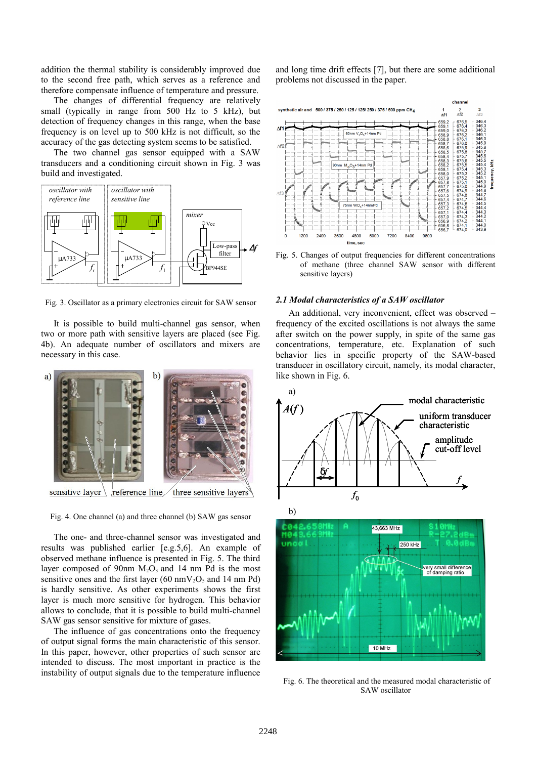addition the thermal stability is considerably improved due to the second free path, which serves as a reference and therefore compensate influence of temperature and pressure.

The changes of differential frequency are relatively small (typically in range from 500 Hz to 5 kHz), but detection of frequency changes in this range, when the base frequency is on level up to 500 kHz is not difficult, so the accuracy of the gas detecting system seems to be satisfied.

The two channel gas sensor equipped with a SAW transducers and a conditioning circuit shown in Fig. 3 was build and investigated.



Fig. 3. Oscillator as a primary electronics circuit for SAW sensor

It is possible to build multi-channel gas sensor, when two or more path with sensitive layers are placed (see Fig. 4b). An adequate number of oscillators and mixers are necessary in this case.



Fig. 4. One channel (a) and three channel (b) SAW gas sensor

The one- and three-channel sensor was investigated and results was published earlier [e.g.5,6]. An example of observed methane influence is presented in Fig. 5. The third layer composed of 90nm  $M_2O_3$  and 14 nm Pd is the most sensitive ones and the first layer (60 nmV<sub>2</sub>O<sub>5</sub> and 14 nm Pd) is hardly sensitive. As other experiments shows the first layer is much more sensitive for hydrogen. This behavior allows to conclude, that it is possible to build multi-channel SAW gas sensor sensitive for mixture of gases.

The influence of gas concentrations onto the frequency of output signal forms the main characteristic of this sensor. In this paper, however, other properties of such sensor are intended to discuss. The most important in practice is the instability of output signals due to the temperature influence and long time drift effects [7], but there are some additional problems not discussed in the paper.



Fig. 5. Changes of output frequencies for different concentrations of methane (three channel SAW sensor with different sensitive layers)

#### *2.1 Modal characteristics of a SAW oscillator*

An additional, very inconvenient, effect was observed – frequency of the excited oscillations is not always the same after switch on the power supply, in spite of the same gas concentrations, temperature, etc. Explanation of such behavior lies in specific property of the SAW-based transducer in oscillatory circuit, namely, its modal character, like shown in Fig. 6.



Fig. 6. The theoretical and the measured modal characteristic of SAW oscillator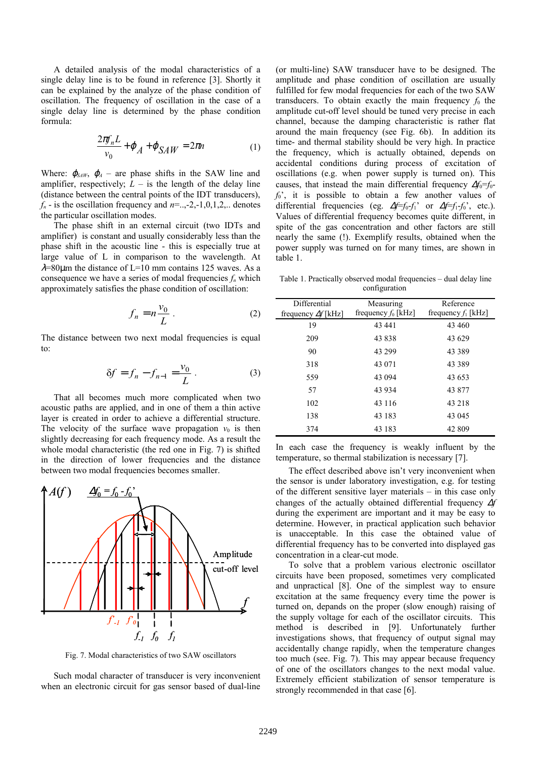A detailed analysis of the modal characteristics of a single delay line is to be found in reference [3]. Shortly it can be explained by the analyze of the phase condition of oscillation. The frequency of oscillation in the case of a single delay line is determined by the phase condition formula:

$$
\frac{2\pi f_n L}{v_0} + \varphi_A + \varphi_{SAW} = 2\pi n \tag{1}
$$

Where:  $\varphi_{SAW}$ ,  $\varphi_A$  – are phase shifts in the SAW line and amplifier, respectively;  $L -$  is the length of the delay line (distance between the central points of the IDT transducers),  $f_n$  - is the oscillation frequency and  $n = 2, -1, 0, 1, 2, \ldots$  denotes the particular oscillation modes.

The phase shift in an external circuit (two IDTs and amplifier) is constant and usually considerably less than the phase shift in the acoustic line - this is especially true at large value of L in comparison to the wavelength. At  $\lambda$ =80 $\mu$ m the distance of L=10 mm contains 125 waves. As a consequence we have a series of modal frequencies  $f_n$  which approximately satisfies the phase condition of oscillation:

$$
f_n = n \frac{v_0}{L} \,. \tag{2}
$$

The distance between two next modal frequencies is equal to:

$$
\delta f = f_n - f_{n-1} = \frac{v_0}{L} \,. \tag{3}
$$

That all becomes much more complicated when two acoustic paths are applied, and in one of them a thin active layer is created in order to achieve a differential structure. The velocity of the surface wave propagation  $v_0$  is then slightly decreasing for each frequency mode. As a result the whole modal characteristic (the red one in Fig. 7) is shifted in the direction of lower frequencies and the distance between two modal frequencies becomes smaller.



Fig. 7. Modal characteristics of two SAW oscillators

Such modal character of transducer is very inconvenient when an electronic circuit for gas sensor based of dual-line

(or multi-line) SAW transducer have to be designed. The amplitude and phase condition of oscillation are usually fulfilled for few modal frequencies for each of the two SAW transducers. To obtain exactly the main frequency  $f_0$  the amplitude cut-off level should be tuned very precise in each channel, because the damping characteristic is rather flat around the main frequency (see Fig. 6b). In addition its time- and thermal stability should be very high. In practice the frequency, which is actually obtained, depends on accidental conditions during process of excitation of oscillations (e.g. when power supply is turned on). This causes, that instead the main differential frequency  $\Delta f_0 = f_0$ *f*0', it is possible to obtain a few another values of differential frequencies (eg. ∆*f*=*f*0-*f*1' or ∆*f*=*f*1-*f*0', etc.). Values of differential frequency becomes quite different, in spite of the gas concentration and other factors are still nearly the same (!). Exemplify results, obtained when the power supply was turned on for many times, are shown in table 1.

Table 1. Practically observed modal frequencies – dual delay line configuration

| Differential               | Measuring<br>frequency $f_0$ [kHz] | Reference<br>frequency $f_1$ [kHz] |
|----------------------------|------------------------------------|------------------------------------|
| frequency $\Delta f$ [kHz] |                                    |                                    |
| 19                         | 43 441                             | 43 460                             |
| 209                        | 43838                              | 43 629                             |
| 90                         | 43 299                             | 43 3 8 9                           |
| 318                        | 43 071                             | 43 3 8 9                           |
| 559                        | 43 0 94                            | 43 653                             |
| 57                         | 43 9 34                            | 43 877                             |
| 102                        | 43 116                             | 43 218                             |
| 138                        | 43 183                             | 43 045                             |
| 374                        | 43 183                             | 42 809                             |

In each case the frequency is weakly influent by the temperature, so thermal stabilization is necessary [7].

The effect described above isn't very inconvenient when the sensor is under laboratory investigation, e.g. for testing of the different sensitive layer materials – in this case only changes of the actually obtained differential frequency ∆*f* during the experiment are important and it may be easy to determine. However, in practical application such behavior is unacceptable. In this case the obtained value of differential frequency has to be converted into displayed gas concentration in a clear-cut mode.

To solve that a problem various electronic oscillator circuits have been proposed, sometimes very complicated and unpractical [8]. One of the simplest way to ensure excitation at the same frequency every time the power is turned on, depands on the proper (slow enough) raising of the supply voltage for each of the oscillator circuits. This method is described in [9]. Unfortunately further investigations shows, that frequency of output signal may accidentally change rapidly, when the temperature changes too much (see. Fig. 7). This may appear because frequency of one of the oscillators changes to the next modal value. Extremely efficient stabilization of sensor temperature is strongly recommended in that case [6].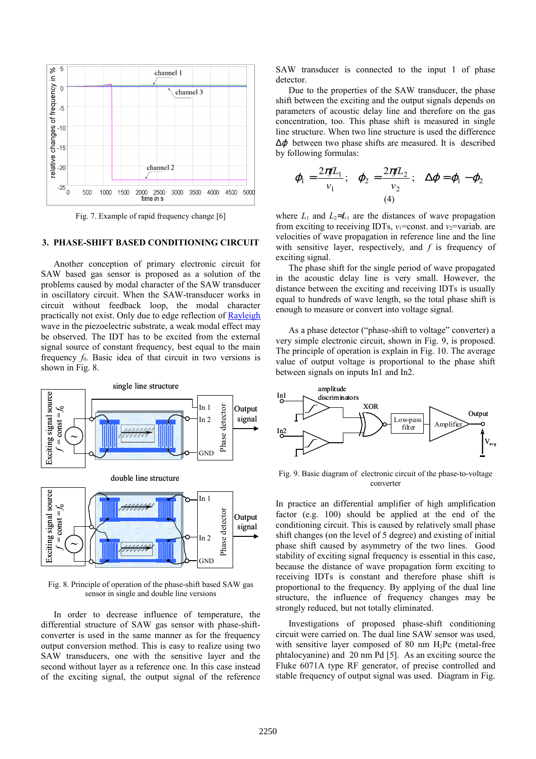

Fig. 7. Example of rapid frequency change [6]

## **3. PHASE-SHIFT BASED CONDITIONING CIRCUIT**

Another conception of primary electronic circuit for SAW based gas sensor is proposed as a solution of the problems caused by modal character of the SAW transducer in oscillatory circuit. When the SAW-transducer works in circuit without feedback loop, the modal character practically not exist. Only due to edge reflection of [Rayleigh](http://pl.wikipedia.org/wiki/Fala_Rayleigha) wave in the piezoelectric substrate, a weak modal effect may be observed. The IDT has to be excited from the external signal source of constant frequency, best equal to the main frequency  $f_0$ . Basic idea of that circuit in two versions is shown in Fig. 8.



Fig. 8. Principle of operation of the phase-shift based SAW gas sensor in single and double line versions

In order to decrease influence of temperature, the differential structure of SAW gas sensor with phase-shiftconverter is used in the same manner as for the frequency output conversion method. This is easy to realize using two SAW transducers, one with the sensitive layer and the second without layer as a reference one. In this case instead of the exciting signal, the output signal of the reference SAW transducer is connected to the input 1 of phase detector.

Due to the properties of the SAW transducer, the phase shift between the exciting and the output signals depends on parameters of acoustic delay line and therefore on the gas concentration, too. This phase shift is measured in single line structure. When two line structure is used the difference  $\Delta \varphi$  between two phase shifts are measured. It is described by following formulas:

$$
\varphi_1 = \frac{2\pi fL_1}{v_1}; \quad \varphi_2 = \frac{2\pi fL_2}{v_2}; \quad \Delta \varphi = \varphi_1 - \varphi_2
$$
\n(4)

where  $L_1$  and  $L_2 \approx L_1$  are the distances of wave propagation from exciting to receiving IDTs,  $v_1$ =const. and  $v_2$ =variab. are velocities of wave propagation in reference line and the line with sensitive layer, respectively, and *f* is frequency of exciting signal.

The phase shift for the single period of wave propagated in the acoustic delay line is very small. However, the distance between the exciting and receiving IDTs is usually equal to hundreds of wave length, so the total phase shift is enough to measure or convert into voltage signal.

As a phase detector ("phase-shift to voltage" converter) a very simple electronic circuit, shown in Fig. 9, is proposed. The principle of operation is explain in Fig. 10. The average value of output voltage is proportional to the phase shift between signals on inputs In1 and In2.



Fig. 9. Basic diagram of electronic circuit of the phase-to-voltage converter

In practice an differential amplifier of high amplification factor (e.g. 100) should be applied at the end of the conditioning circuit. This is caused by relatively small phase shift changes (on the level of 5 degree) and existing of initial phase shift caused by asymmetry of the two lines. Good stability of exciting signal frequency is essential in this case, because the distance of wave propagation form exciting to receiving IDTs is constant and therefore phase shift is proportional to the frequency. By applying of the dual line structure, the influence of frequency changes may be strongly reduced, but not totally eliminated.

Investigations of proposed phase-shift conditioning circuit were carried on. The dual line SAW sensor was used, with sensitive layer composed of 80 nm H<sub>2</sub>Pc (metal-free phtalocyanine) and 20 nm Pd [5]. As an exciting source the Fluke 6071A type RF generator, of precise controlled and stable frequency of output signal was used. Diagram in Fig.